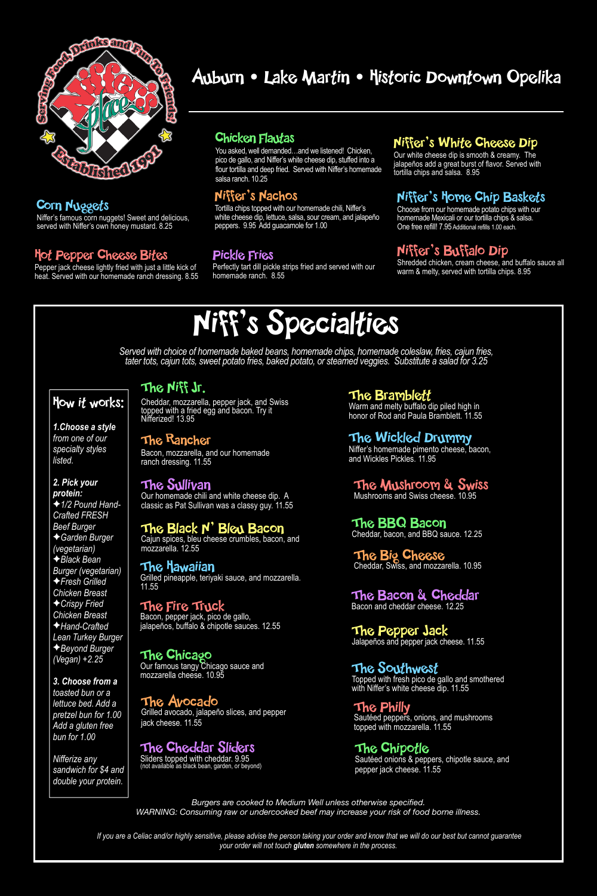*Burgers are cooked to Medium Well unless otherwise specified. WARNING: Consuming raw or undercooked beef may increase your risk of food borne illness.*

## Niff's Specialties

### How it works:

*1.Choose a style from one of our specialty styles listed.* 

#### *2. Pick your protein:*

✦*1/2 Pound Hand-Crafted FRESH Beef Burger*  ✦*Garden Burger (vegetarian)*  ✦*Black Bean Burger (vegetarian)*  ✦*Fresh Grilled Chicken Breast*  ✦*Crispy Fried Chicken Breast* 

✦*Hand-Crafted Lean Turkey Burger*  ✦*Beyond Burger (Vegan) +2.25* 

Pepper jack cheese lightly fried with just a little kick of heat. Served with our homemade ranch dressing. 8.55

> *3. Choose from a toasted bun or a lettuce bed. Add a pretzel bun for 1.00 Add a gluten free bun for 1.00*

*Nifferize any sandwich for \$4 and double your protein.* 

> *If you are a Celiac and/or highly sensitive, please advise the person taking your order and know that we will do our best but cannot guarantee your order will not touch gluten somewhere in the process.*



### Corn Nuggets

Niffer's famous corn nuggets! Sweet and delicious, served with Niffer's own honey mustard. 8.25

### Hot Pepper Cheese Bites

### Chicken Flautas

You asked, well demanded…and we listened! Chicken, pico de gallo, and Niffer's white cheese dip, stuffed into a flour tortilla and deep fried. Served with Niffer's homemade salsa ranch. 10.25

### Niffer's Buffalo Dip

Shredded chicken, cream cheese, and buffalo sauce all warm & melty, served with tortilla chips. 8.95

### Niffer's Nachos

Tortilla chips topped with our homemade chili, Niffer's white cheese dip, lettuce, salsa, sour cream, and jalapeño peppers. 9.95 Add guacamole for 1.00

The Avocado Grilled avocado, jalapeño slices, and pepper jack cheese. 11.55

### Niffer's White Cheese Dip

Our white cheese dip is smooth & creamy. The jalapeños add a great burst of flavor. Served with tortilla chips and salsa. 8.95

### Niffer's Home Chip Baskets

Choose from our homemade potato chips with our homemade Mexicali or our tortilla chips & salsa. One free refill! 7.95 Additional refills 1.00 each.

Sautéed onions & peppers, chipotle sauce, and pepper jack cheese. 11.55

### Pickle Fries

Perfectly tart dill pickle strips fried and served with our homemade ranch. 8.55

*Served with choice of homemade baked beans, homemade chips, homemade coleslaw, fries, cajun fries, tater tots, cajun tots, sweet potato fries, baked potato, or steamed veggies. Substitute a salad for 3.25*

### Auburn • Lake Martin • Historic Downtown Opelika

The Cheddar Sliders

Sliders topped with cheddar. 9.95 (not available as black bean, garden, or beyond)

### The Bramblett

Warm and melty buffalo dip piled high in honor of Rod and Paula Bramblett. 11.55

### The Black N' Bleu Bacon

Cajun spices, bleu cheese crumbles, bacon, and mozzarella. 12.55

> The Pepper Jack Jalapeños and pepper jack cheese. 11.55

### The Rancher

Bacon, mozzarella, and our homemade ranch dressing. 11.55

> The Southwest Topped with fresh pico de gallo and smothered with Niffer's white cheese dip. 11.55

### The Sullivan

Our homemade chili and white cheese dip. A classic as Pat Sullivan was a classy guy. 11.55

> The Big Cheese Cheddar, Swiss, and mozzarella. 10.95

### The Niff Jr.

Cheddar, mozzarella, pepper jack, and Swiss topped with a fried egg and bacon. Try it Nifferized! 13.95

### The Mushroom & Swiss

Mushrooms and Swiss cheese. 10.95

The Philly Sautéed peppers, onions, and mushrooms topped with mozzarella. 11.55

#### The BBQ Bacon Cheddar, bacon, and BBQ sauce. 12.25

### The Wickled Drummy

Niffer's homemade pimento cheese, bacon, and Wickles Pickles. 11.95

The Chicago Our famous tangy Chicago sauce and mozzarella cheese. 10.95

### The Fire Truck

Bacon, pepper jack, pico de gallo,

jalapeños, buffalo & chipotle sauces. 12.55

### The Hawaiian

Grilled pineapple, teriyaki sauce, and mozzarella. 11.55

### The Chipotle

### The Bacon & Cheddar

Bacon and cheddar cheese. 12.25